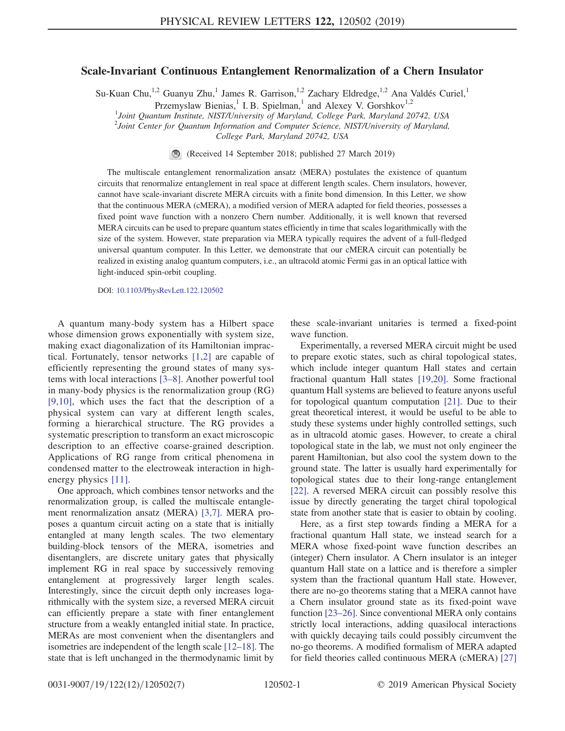## Scale-Invariant Continuous Entanglement Renormalization of a Chern Insulator

Su-Kuan Chu,<sup>1,2</sup> Guanyu Zhu,<sup>1</sup> James R. Garrison,<sup>1,2</sup> Zachary Eldredge,<sup>1,2</sup> Ana Valdés Curiel,<sup>1</sup>

Przemyslaw Bienias,<sup>1</sup> I. B. Spielman,<sup>1</sup> and Alexey V. Gorshkov<sup>1,2</sup>

<sup>1</sup>Joint Quantum Institute, NIST/University of Maryland, College Park, Maryland 20742, USA

 $2^{2}$ Joint Center for Quantum Information and Computer Science, NIST/University of Maryland,

College Park, Maryland 20742, USA

(Received 14 September 2018; published 27 March 2019)

The multiscale entanglement renormalization ansatz (MERA) postulates the existence of quantum circuits that renormalize entanglement in real space at different length scales. Chern insulators, however, cannot have scale-invariant discrete MERA circuits with a finite bond dimension. In this Letter, we show that the continuous MERA (cMERA), a modified version of MERA adapted for field theories, possesses a fixed point wave function with a nonzero Chern number. Additionally, it is well known that reversed MERA circuits can be used to prepare quantum states efficiently in time that scales logarithmically with the size of the system. However, state preparation via MERA typically requires the advent of a full-fledged universal quantum computer. In this Letter, we demonstrate that our cMERA circuit can potentially be realized in existing analog quantum computers, i.e., an ultracold atomic Fermi gas in an optical lattice with light-induced spin-orbit coupling.

DOI: [10.1103/PhysRevLett.122.120502](https://doi.org/10.1103/PhysRevLett.122.120502)

A quantum many-body system has a Hilbert space whose dimension grows exponentially with system size, making exact diagonalization of its Hamiltonian impractical. Fortunately, tensor networks [\[1,2\]](#page-4-0) are capable of efficiently representing the ground states of many systems with local interactions [3–[8\]](#page-4-1). Another powerful tool in many-body physics is the renormalization group (RG) [\[9,10\]](#page-4-2), which uses the fact that the description of a physical system can vary at different length scales, forming a hierarchical structure. The RG provides a systematic prescription to transform an exact microscopic description to an effective coarse-grained description. Applications of RG range from critical phenomena in condensed matter to the electroweak interaction in high-energy physics [\[11\].](#page-4-3)

One approach, which combines tensor networks and the renormalization group, is called the multiscale entanglement renormalization ansatz (MERA) [\[3,7\]](#page-4-1). MERA proposes a quantum circuit acting on a state that is initially entangled at many length scales. The two elementary building-block tensors of the MERA, isometries and disentanglers, are discrete unitary gates that physically implement RG in real space by successively removing entanglement at progressively larger length scales. Interestingly, since the circuit depth only increases logarithmically with the system size, a reversed MERA circuit can efficiently prepare a state with finer entanglement structure from a weakly entangled initial state. In practice, MERAs are most convenient when the disentanglers and isometries are independent of the length scale [12–[18\].](#page-4-4) The state that is left unchanged in the thermodynamic limit by these scale-invariant unitaries is termed a fixed-point wave function.

Experimentally, a reversed MERA circuit might be used to prepare exotic states, such as chiral topological states, which include integer quantum Hall states and certain fractional quantum Hall states [\[19,20\]](#page-4-5). Some fractional quantum Hall systems are believed to feature anyons useful for topological quantum computation [\[21\].](#page-4-6) Due to their great theoretical interest, it would be useful to be able to study these systems under highly controlled settings, such as in ultracold atomic gases. However, to create a chiral topological state in the lab, we must not only engineer the parent Hamiltonian, but also cool the system down to the ground state. The latter is usually hard experimentally for topological states due to their long-range entanglement [\[22\]](#page-4-7). A reversed MERA circuit can possibly resolve this issue by directly generating the target chiral topological state from another state that is easier to obtain by cooling.

Here, as a first step towards finding a MERA for a fractional quantum Hall state, we instead search for a MERA whose fixed-point wave function describes an (integer) Chern insulator. A Chern insulator is an integer quantum Hall state on a lattice and is therefore a simpler system than the fractional quantum Hall state. However, there are no-go theorems stating that a MERA cannot have a Chern insulator ground state as its fixed-point wave function [\[23](#page-4-8)–26]. Since conventional MERA only contains strictly local interactions, adding quasilocal interactions with quickly decaying tails could possibly circumvent the no-go theorems. A modified formalism of MERA adapted for field theories called continuous MERA (cMERA) [\[27\]](#page-5-0)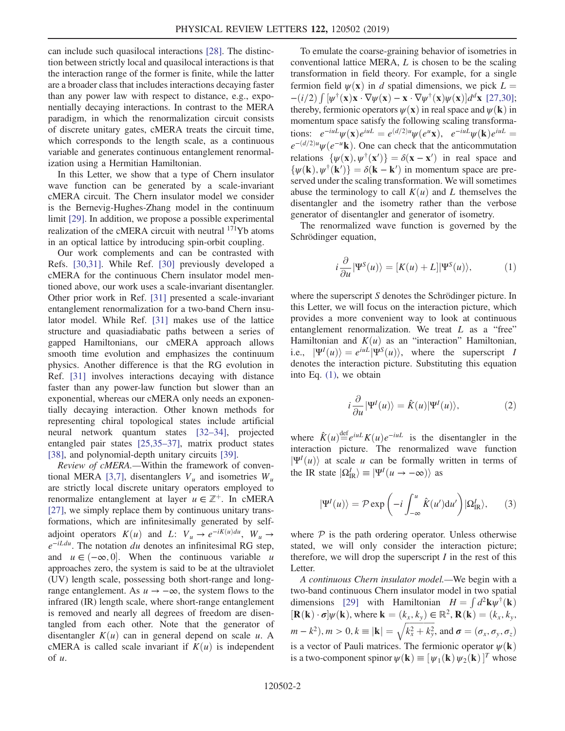can include such quasilocal interactions [\[28\]](#page-5-1). The distinction between strictly local and quasilocal interactions is that the interaction range of the former is finite, while the latter are a broader class that includes interactions decaying faster than any power law with respect to distance, e.g., exponentially decaying interactions. In contrast to the MERA paradigm, in which the renormalization circuit consists of discrete unitary gates, cMERA treats the circuit time, which corresponds to the length scale, as a continuous variable and generates continuous entanglement renormalization using a Hermitian Hamiltonian.

In this Letter, we show that a type of Chern insulator wave function can be generated by a scale-invariant cMERA circuit. The Chern insulator model we consider is the Bernevig-Hughes-Zhang model in the continuum limit [\[29\].](#page-5-2) In addition, we propose a possible experimental realization of the cMERA circuit with neutral <sup>171</sup>Yb atoms in an optical lattice by introducing spin-orbit coupling.

Our work complements and can be contrasted with Refs. [\[30,31\].](#page-5-3) While Ref. [\[30\]](#page-5-3) previously developed a cMERA for the continuous Chern insulator model mentioned above, our work uses a scale-invariant disentangler. Other prior work in Ref. [\[31\]](#page-5-4) presented a scale-invariant entanglement renormalization for a two-band Chern insulator model. While Ref. [\[31\]](#page-5-4) makes use of the lattice structure and quasiadiabatic paths between a series of gapped Hamiltonians, our cMERA approach allows smooth time evolution and emphasizes the continuum physics. Another difference is that the RG evolution in Ref. [\[31\]](#page-5-4) involves interactions decaying with distance faster than any power-law function but slower than an exponential, whereas our cMERA only needs an exponentially decaying interaction. Other known methods for representing chiral topological states include artificial neural network quantum states [32–[34\],](#page-5-5) projected entangled pair states [\[25,35](#page-5-6)–37], matrix product states [\[38\]](#page-5-7), and polynomial-depth unitary circuits [\[39\]](#page-5-8).

Review of cMERA.—Within the framework of conven-tional MERA [\[3,7\]](#page-4-1), disentanglers  $V_u$  and isometries  $W_u$ are strictly local discrete unitary operators employed to renormalize entanglement at layer  $u \in \mathbb{Z}^+$ . In cMERA [\[27\]](#page-5-0), we simply replace them by continuous unitary transformations, which are infinitesimally generated by selfadjoint operators  $K(u)$  and L:  $V_u \rightarrow e^{-iK(u)du}$ ,  $W_u \rightarrow$  $e^{-iLdu}$ . The notation du denotes an infinitesimal RG step, and  $u \in (-\infty, 0]$ . When the continuous variable used to be at the ultraviolet approaches zero, the system is said to be at the ultraviolet (UV) length scale, possessing both short-range and longrange entanglement. As  $u \rightarrow -\infty$ , the system flows to the infrared (IR) length scale, where short-range entanglement is removed and nearly all degrees of freedom are disentangled from each other. Note that the generator of disentangler  $K(u)$  can in general depend on scale u. A cMERA is called scale invariant if  $K(u)$  is independent of  $u$ .

To emulate the coarse-graining behavior of isometries in conventional lattice MERA, L is chosen to be the scaling transformation in field theory. For example, for a single fermion field  $\psi(\mathbf{x})$  in d spatial dimensions, we pick  $L =$  $-(i/2) \int [\psi^{\dagger}(\mathbf{x}) \mathbf{x} \cdot \nabla \psi(\mathbf{x}) - \mathbf{x} \cdot \nabla \psi^{\dagger}(\mathbf{x}) \psi(\mathbf{x})] d^d \mathbf{x}$  [\[27,30\]](#page-5-0);<br>thereby fermionic operators  $u(\mathbf{x})$  in real space and  $u(\mathbf{k})$  in thereby, fermionic operators  $\psi(\mathbf{x})$  in real space and  $\psi(\mathbf{k})$  in momentum space satisfy the following scaling transformations:  $e^{-i\mu L}\psi(\mathbf{x})e^{i\mu L} = e^{(d/2)\mu}\psi(e^{\mu}\mathbf{x}), e^{-i\mu L}\psi(\mathbf{k})e^{i\mu L} =$  $e^{-(d/2)u}\psi(e^{-u}\mathbf{k})$ . One can check that the anticommutation relations  $\{\psi(\mathbf{x}), \psi^{\dagger}(\mathbf{x}')\} = \delta(\mathbf{x} - \mathbf{x}')$  in real space and  $\delta w(\mathbf{k})$  with  $\psi(\mathbf{k}') = \delta(\mathbf{k} - \mathbf{k}')$  in momentum space are pre- $\{\psi(\mathbf{k}), \psi^{\dagger}(\mathbf{k}')\} = \delta(\mathbf{k} - \mathbf{k}')$  in momentum space are pre-<br>served under the scaling transformation. We will sometimes served under the scaling transformation. We will sometimes abuse the terminology to call  $K(u)$  and L themselves the disentangler and the isometry rather than the verbose generator of disentangler and generator of isometry.

<span id="page-1-0"></span>The renormalized wave function is governed by the Schrödinger equation,

$$
i\frac{\partial}{\partial u}|\Psi^{S}(u)\rangle = [K(u) + L]|\Psi^{S}(u)\rangle, \qquad (1)
$$

<span id="page-1-1"></span>where the superscript S denotes the Schrödinger picture. In this Letter, we will focus on the interaction picture, which provides a more convenient way to look at continuous entanglement renormalization. We treat L as a "free" Hamiltonian and  $K(u)$  as an "interaction" Hamiltonian, i.e.,  $|\Psi^{I}(u)\rangle = e^{iuL}|\Psi^{S}(u)\rangle$ , where the superscript I denotes the interaction picture Substituting this equation denotes the interaction picture. Substituting this equation into Eq. [\(1\),](#page-1-0) we obtain

$$
i\frac{\partial}{\partial u}|\Psi^{I}(u)\rangle = \hat{K}(u)|\Psi^{I}(u)\rangle, \qquad (2)
$$

where  $\hat{K}(u) \stackrel{\text{def}}{=} e^{i u L} K(u) e^{-i u L}$  is the disentangler in the interaction picture. The renormalized wave function interaction picture. The renormalized wave function  $|\Psi^{I}(u)\rangle$  at scale u can be formally written in terms of<br>the IR state  $|\Theta^{I}\rangle = |\Psi^{I}(u - \gamma x)|$  as the IR state  $|\Omega_{\text{IR}}^I\rangle \equiv |\Psi^I(u \to -\infty)\rangle$  as

$$
|\Psi^{I}(u)\rangle = \mathcal{P} \exp\left(-i \int_{-\infty}^{u} \hat{K}(u') du'\right) |\Omega^{I}_{\mathrm{IR}}\rangle, \qquad (3)
$$

where  $P$  is the path ordering operator. Unless otherwise stated, we will only consider the interaction picture; therefore, we will drop the superscript  $I$  in the rest of this Letter.

A continuous Chern insulator model.—We begin with a two-band continuous Chern insulator model in two spatial dimensions [\[29\]](#page-5-2) with Hamiltonian  $H = \int d^2 \mathbf{k} \psi^{\dagger}(\mathbf{k})$ <br>  $\mathbf{E}(\mathbf{k}) \cdot \mathbf{e}^{\dagger} \psi(\mathbf{k})$  where  $\mathbf{k} = (k - k) \in \mathbb{R}^2$   $\mathbf{E}(\mathbf{k}) = (k - k)$  $[\mathbf{R}(\mathbf{k}) \cdot \boldsymbol{\sigma}] \psi(\mathbf{k})$ , where  $\mathbf{k} = (k_x, k_y) \in \mathbb{R}^2$ ,  $\mathbf{R}(\mathbf{k}) = (k_x, k_y, k_z)$  $(m - k^2), m > 0, k \equiv |\mathbf{k}| = \sqrt{k_x^2 + k_y^2}$ , and  $\boldsymbol{\sigma} = (\sigma_x, \sigma_y, \sigma_z)$ is a vector of Pauli matrices. The fermionic operator  $\psi(\mathbf{k})$ is a two-component spinor  $\psi(\mathbf{k}) \equiv [\psi_1(\mathbf{k}) \psi_2(\mathbf{k})]^T$  whose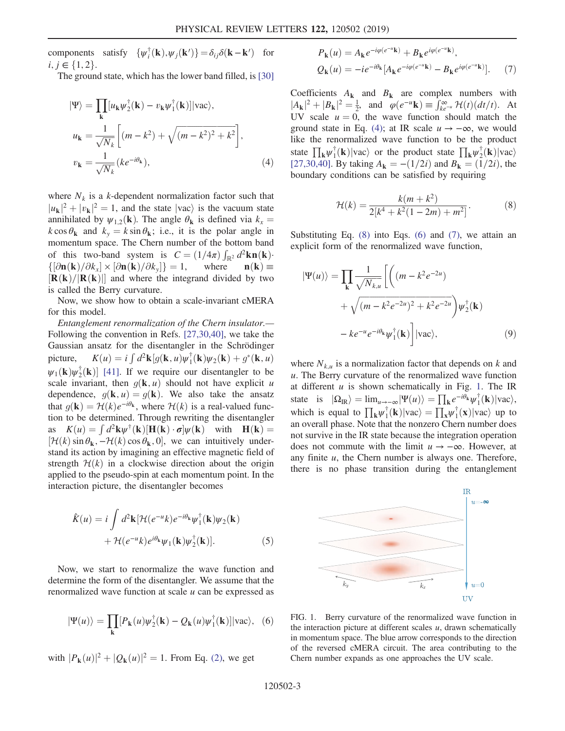components satisfy  $\{\psi_i^{\dagger}(\mathbf{k}), \psi_j(\mathbf{k}')\} = \delta_{ij}\delta(\mathbf{k} - \mathbf{k}')$  for  $i, j \in \{1, 2\}.$ 

<span id="page-2-0"></span>The ground state, which has the lower band filled, is [\[30\]](#page-5-3)

$$
|\Psi\rangle = \prod_{\mathbf{k}} [u_{\mathbf{k}} \psi_2^{\dagger}(\mathbf{k}) - v_{\mathbf{k}} \psi_1^{\dagger}(\mathbf{k})]|vac\rangle,
$$
  

$$
u_{\mathbf{k}} = \frac{1}{\sqrt{N_k}} \left[ (m - k^2) + \sqrt{(m - k^2)^2 + k^2} \right],
$$
  

$$
v_{\mathbf{k}} = \frac{1}{\sqrt{N_k}} (ke^{-i\theta_{\mathbf{k}}}),
$$
 (4)

where  $N_k$  is a k-dependent normalization factor such that  $|u_{\mathbf{k}}|^2 + |v_{\mathbf{k}}|^2 = 1$ , and the state  $|vac\rangle$  is the vacuum state<br>annihilated by  $u_{\mathbf{k},\mathbf{k}}(k)$ . The angle  $\theta$ , is defined via  $k =$ annihilated by  $\psi_{1,2}(\mathbf{k})$ . The angle  $\theta_{\mathbf{k}}$  is defined via  $k_x =$  $k \cos \theta_{k}$  and  $k_{y} = k \sin \theta_{k}$ ; i.e., it is the polar angle in momentum space. The Chern number of the bottom band of this two-band system is  $C = (1/4\pi) \int_{\mathbb{R}^2} d^2 \mathbf{k} \mathbf{n}(\mathbf{k}) \cdot d\mathbf{k}$ <br> $\int [\partial \mathbf{n}(\mathbf{k})/\partial k] \cdot [\partial \mathbf{n}(\mathbf{k})/\partial k] = 1$  where  $\mathbf{n}(\mathbf{k}) =$  $\left\{ \left[ \partial \mathbf{n}(\mathbf{k}) / \partial k_x \right] \times \left[ \partial \mathbf{n}(\mathbf{k}) / \partial k_y \right] \right\}$ [**P** (**k**)/[**P** (**k**)]] and where the  $\} = 1$ , where  $n(k) \equiv$ <br>he integrand divided by two  $[\mathbf{R}(\mathbf{k})/|\mathbf{R}(\mathbf{k})|]$  and where the integrand divided by two<br>is called the Berry curvature is called the Berry curvature.

Now, we show how to obtain a scale-invariant cMERA for this model.

Entanglement renormalization of the Chern insulator.— Following the convention in Refs. [\[27,30,40\],](#page-5-0) we take the Gaussian ansatz for the disentangler in the Schrödinger picture,  $K(u) = i$ <br> $W(u) \cdot k(u) = i$  $\int d^2\mathbf{k} \left[ g(\mathbf{k}, u) \psi_1^{\dagger}(\mathbf{k}) \psi_2(\mathbf{k}) + g^*(\mathbf{k}, u) \right]$  $\psi_1(\mathbf{k})\psi_2^{\dagger}(\mathbf{k})$  [\[41\]](#page-5-9). If we require our disentangler to be scale invariant then  $g(\mathbf{k}, u)$  should not have explicit u scale invariant, then  $g(\mathbf{k}, u)$  should not have explicit u dependence,  $g(\mathbf{k}, u) = g(\mathbf{k})$ . We also take the ansatz that  $g(\mathbf{k}) = \mathcal{H}(k)e^{-i\theta_{\mathbf{k}}}$ , where  $\mathcal{H}(k)$  is a real-valued function to be determined. Through rewriting the disentangler as  $K(u) = \int d^2 \mathbf{k} \psi^{\dagger}(\mathbf{k}) [\mathbf{H}(\mathbf{k}) \cdot \sigma] \psi(\mathbf{k})$  with  $\mathbf{H}(\mathbf{k}) = [\mathcal{H}(k) \sin \theta, -\mathcal{H}(k) \cos \theta, 0]$  we can intuitively under- $[\mathcal{H}(k) \sin \theta_k, -\mathcal{H}(k) \cos \theta_k, 0]$ , we can intuitively under-<br>stand its action by imagining an effective magnetic field of stand its action by imagining an effective magnetic field of strength  $H(k)$  in a clockwise direction about the origin applied to the pseudo-spin at each momentum point. In the interaction picture, the disentangler becomes

<span id="page-2-5"></span>
$$
\hat{K}(u) = i \int d^2 \mathbf{k} [\mathcal{H}(e^{-u}k)e^{-i\theta_{\mathbf{k}}} \psi_1^{\dagger}(\mathbf{k})\psi_2(\mathbf{k})
$$

$$
+ \mathcal{H}(e^{-u}k)e^{i\theta_{\mathbf{k}}} \psi_1(\mathbf{k})\psi_2^{\dagger}(\mathbf{k})]. \tag{5}
$$

<span id="page-2-2"></span>Now, we start to renormalize the wave function and determine the form of the disentangler. We assume that the renormalized wave function at scale u can be expressed as

<span id="page-2-3"></span>
$$
|\Psi(u)\rangle = \prod_{\mathbf{k}} [P_{\mathbf{k}}(u)\psi_2^{\dagger}(\mathbf{k}) - Q_{\mathbf{k}}(u)\psi_1^{\dagger}(\mathbf{k})]|vac\rangle, \tag{6}
$$

with  $|P_{k}(u)|^{2} + |Q_{k}(u)|^{2} = 1$ . From Eq. [\(2\),](#page-1-1) we get

$$
P_{\mathbf{k}}(u) = A_{\mathbf{k}}e^{-i\varphi(e^{-u}\mathbf{k})} + B_{\mathbf{k}}e^{i\varphi(e^{-u}\mathbf{k})},
$$
  
\n
$$
Q_{\mathbf{k}}(u) = -ie^{-i\theta_{\mathbf{k}}}[A_{\mathbf{k}}e^{-i\varphi(e^{-u}\mathbf{k})} - B_{\mathbf{k}}e^{i\varphi(e^{-u}\mathbf{k})}].
$$
\n(7)

Coefficients  $A_k$  and  $B_k$  are complex numbers with  $|A_{\mathbf{k}}|^2 + |B_{\mathbf{k}}|^2 = \frac{1}{2}$ , and  $\varphi(e^{-u}\mathbf{k}) \equiv \int_{\mathcal{K}^{u}}^{\infty} \mathcal{H}(t)(dt/t)$ . At UV scale  $u = 0$ , the wave function should match the ground state in Eq. [\(4\);](#page-2-0) at IR scale  $u \to -\infty$ , we would like the renormalized wave function to be the product state  $\prod_{\mathbf{k}} \psi_1^{\dagger}(\mathbf{k}) |\text{vac}\rangle$  or the product state  $\prod_{\mathbf{k}} \psi_2^{\dagger}(\mathbf{k}) |\text{vac}\rangle$ <br>177.30.401 By taking  $A_1 = -(1/2i)$  and  $B_2 = (1/2i)$  the [\[27,30,40\]](#page-5-0). By taking  $A_{\bf k} = -(1/2i)$  and  $B_{\bf k} = (1/2i)$ , the boundary conditions can be satisfied by requiring

<span id="page-2-1"></span>
$$
\mathcal{H}(k) = \frac{k(m+k^2)}{2[k^4 + k^2(1-2m) + m^2]}.
$$
 (8)

Substituting Eq.  $(8)$  into Eqs.  $(6)$  and  $(7)$ , we attain an explicit form of the renormalized wave function,

$$
|\Psi(u)\rangle = \prod_{\mathbf{k}} \frac{1}{\sqrt{N_{k,u}}} \left[ \left( (m - k^2 e^{-2u}) + \sqrt{(m - k^2 e^{-2u})^2 + k^2 e^{-2u}} \right) \psi_2^{\dagger}(\mathbf{k}) - ke^{-u} e^{-i\theta_{\mathbf{k}}} \psi_1^{\dagger}(\mathbf{k}) \right] |vac\rangle, \tag{9}
$$

where  $N_{k,u}$  is a normalization factor that depends on k and  $u$ . The Berry curvature of the renormalized wave function at different  $u$  is shown schematically in Fig. [1.](#page-2-4) The IR state is  $|\Omega_{\text{IR}}\rangle = \lim_{u \to -\infty} |\Psi(u)\rangle = \prod_{\mathbf{k}} e^{-i\theta_{\mathbf{k}}} \psi_1^{\dagger}(\mathbf{k}) |\text{vac}\rangle$ , which is equal to  $\prod_{\mathbf{k}} \psi_1^{\dagger}(\mathbf{k}) |\text{vac}\rangle = \prod_{\mathbf{x}} \psi_1^{\dagger}(\mathbf{x}) |\text{vac}\rangle$  up to an overall phase. Note that the nonzero Chern number does an overall phase. Note that the nonzero Chern number does not survive in the IR state because the integration operation does not commute with the limit  $u \rightarrow -\infty$ . However, at any finite  $u$ , the Chern number is always one. Therefore, there is no phase transition during the entanglement

<span id="page-2-4"></span>

FIG. 1. Berry curvature of the renormalized wave function in the interaction picture at different scales  $u$ , drawn schematically in momentum space. The blue arrow corresponds to the direction of the reversed cMERA circuit. The area contributing to the Chern number expands as one approaches the UV scale.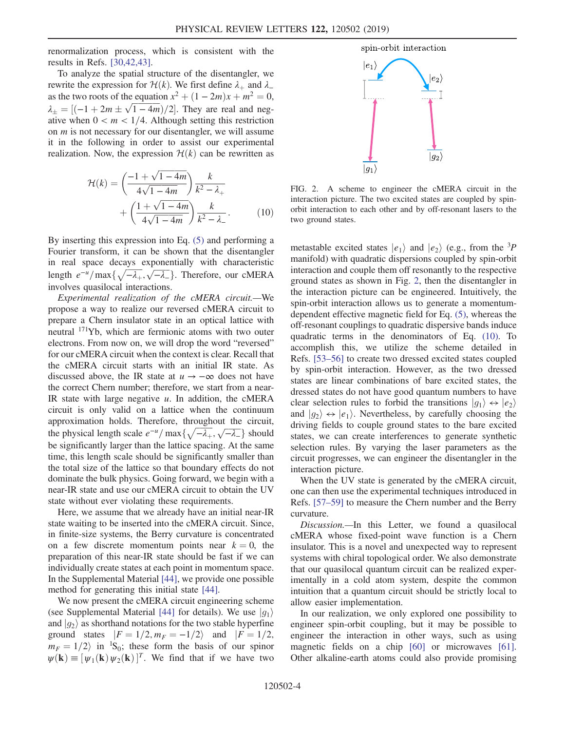renormalization process, which is consistent with the results in Refs. [\[30,42,43\]](#page-5-3).

To analyze the spatial structure of the disentangler, we rewrite the expression for  $\mathcal{H}(k)$ . We first define  $\lambda_+$  and  $\lambda_$ as the two roots of the equation  $x^2 + (1 - 2m)x + m^2 = 0$ ,  $\lambda_{\pm} = \left[(-1 + 2m \pm \sqrt{1 - 4m})/2\right]$ . They are real and negative when  $0 \le m \le 1/4$ . Although setting this restriction ative when  $0 < m < 1/4$ . Although setting this restriction on  $m$  is not necessary for our disentangler, we will assume it in the following in order to assist our experimental realization. Now, the expression  $\mathcal{H}(k)$  can be rewritten as

<span id="page-3-1"></span>
$$
\mathcal{H}(k) = \left(\frac{-1 + \sqrt{1 - 4m}}{4\sqrt{1 - 4m}}\right) \frac{k}{k^2 - \lambda_+} + \left(\frac{1 + \sqrt{1 - 4m}}{4\sqrt{1 - 4m}}\right) \frac{k}{k^2 - \lambda_-}.
$$
 (10)

By inserting this expression into Eq. [\(5\)](#page-2-5) and performing a Fourier transform, it can be shown that the disentangler in real space decays exponentially with characteristic length  $e^{-u}/\max\{\sqrt{-\lambda_+}, \sqrt{-\lambda_-}\}\$ . Therefore, our cMERA involves quasilocal interactions.

Experimental realization of the cMERA circuit.—We propose a way to realize our reversed cMERA circuit to prepare a Chern insulator state in an optical lattice with neutral <sup>171</sup>Yb, which are fermionic atoms with two outer electrons. From now on, we will drop the word "reversed" for our cMERA circuit when the context is clear. Recall that the cMERA circuit starts with an initial IR state. As discussed above, the IR state at  $u \rightarrow -\infty$  does not have the correct Chern number; therefore, we start from a near-IR state with large negative  $u$ . In addition, the cMERA circuit is only valid on a lattice when the continuum approximation holds. Therefore, throughout the circuit, the physical length scale  $e^{-u}/\max\{\sqrt{-\lambda_+}, \sqrt{-\lambda_-}\}\$  should<br>be significantly larger than the lattice spacing. At the same be significantly larger than the lattice spacing. At the same time, this length scale should be significantly smaller than the total size of the lattice so that boundary effects do not dominate the bulk physics. Going forward, we begin with a near-IR state and use our cMERA circuit to obtain the UV state without ever violating these requirements.

Here, we assume that we already have an initial near-IR state waiting to be inserted into the cMERA circuit. Since, in finite-size systems, the Berry curvature is concentrated on a few discrete momentum points near  $k = 0$ , the preparation of this near-IR state should be fast if we can individually create states at each point in momentum space. In the Supplemental Material [\[44\]](#page-5-10), we provide one possible method for generating this initial state [\[44\]](#page-5-10).

We now present the cMERA circuit engineering scheme (see Supplemental Material [\[44\]](#page-5-10) for details). We use  $|g_1\rangle$ and  $|g_2\rangle$  as shorthand notations for the two stable hyperfine ground states  $|F = 1/2, m_F = -1/2$  and  $|F = 1/2,$  $m_F = 1/2$  in <sup>1</sup>S<sub>0</sub>; these form the basis of our spinor<br> $m(\mathbf{k}) = [m_{\ell}(\mathbf{k})]^{T}$  We find that if we have two  $\psi(\mathbf{k}) \equiv [\psi_1(\mathbf{k}) \psi_2(\mathbf{k})]^T$ . We find that if we have two

<span id="page-3-0"></span>

FIG. 2. A scheme to engineer the cMERA circuit in the interaction picture. The two excited states are coupled by spinorbit interaction to each other and by off-resonant lasers to the two ground states.

metastable excited states  $|e_1\rangle$  and  $|e_2\rangle$  (e.g., from the <sup>3</sup>P<br>manifold) with quadratic dispersions counled by spin-orbit manifold) with quadratic dispersions coupled by spin-orbit interaction and couple them off resonantly to the respective ground states as shown in Fig. [2](#page-3-0), then the disentangler in the interaction picture can be engineered. Intuitively, the spin-orbit interaction allows us to generate a momentumdependent effective magnetic field for Eq. [\(5\)](#page-2-5), whereas the off-resonant couplings to quadratic dispersive bands induce quadratic terms in the denominators of Eq. [\(10\).](#page-3-1) To accomplish this, we utilize the scheme detailed in Refs. [53–[56\]](#page-5-11) to create two dressed excited states coupled by spin-orbit interaction. However, as the two dressed states are linear combinations of bare excited states, the dressed states do not have good quantum numbers to have clear selection rules to forbid the transitions  $|g_1\rangle \leftrightarrow |e_2\rangle$ and  $|q_2\rangle \leftrightarrow |e_1\rangle$ . Nevertheless, by carefully choosing the driving fields to couple ground states to the bare excited states, we can create interferences to generate synthetic selection rules. By varying the laser parameters as the circuit progresses, we can engineer the disentangler in the interaction picture.

When the UV state is generated by the cMERA circuit, one can then use the experimental techniques introduced in Refs. [57–[59\]](#page-5-12) to measure the Chern number and the Berry curvature.

Discussion.—In this Letter, we found a quasilocal cMERA whose fixed-point wave function is a Chern insulator. This is a novel and unexpected way to represent systems with chiral topological order. We also demonstrate that our quasilocal quantum circuit can be realized experimentally in a cold atom system, despite the common intuition that a quantum circuit should be strictly local to allow easier implementation.

In our realization, we only explored one possibility to engineer spin-orbit coupling, but it may be possible to engineer the interaction in other ways, such as using magnetic fields on a chip [\[60\]](#page-6-0) or microwaves [\[61\]](#page-6-1). Other alkaline-earth atoms could also provide promising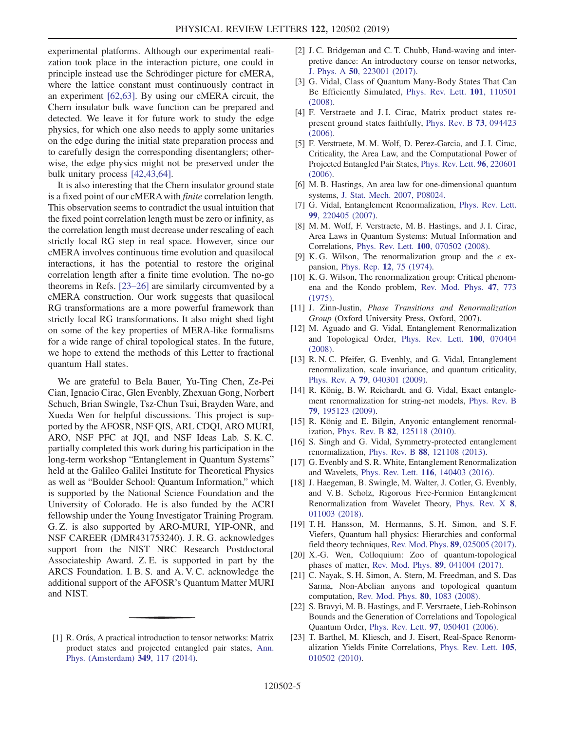experimental platforms. Although our experimental realization took place in the interaction picture, one could in principle instead use the Schrödinger picture for cMERA, where the lattice constant must continuously contract in an experiment [\[62,63\]](#page-6-2). By using our cMERA circuit, the Chern insulator bulk wave function can be prepared and detected. We leave it for future work to study the edge physics, for which one also needs to apply some unitaries on the edge during the initial state preparation process and to carefully design the corresponding disentanglers; otherwise, the edge physics might not be preserved under the bulk unitary process [\[42,43,64\]](#page-5-13).

It is also interesting that the Chern insulator ground state is a fixed point of our cMERA with *finite* correlation length. This observation seems to contradict the usual intuition that the fixed point correlation length must be zero or infinity, as the correlation length must decrease under rescaling of each strictly local RG step in real space. However, since our cMERA involves continuous time evolution and quasilocal interactions, it has the potential to restore the original correlation length after a finite time evolution. The no-go theorems in Refs. [23–[26\]](#page-4-8) are similarly circumvented by a cMERA construction. Our work suggests that quasilocal RG transformations are a more powerful framework than strictly local RG transformations. It also might shed light on some of the key properties of MERA-like formalisms for a wide range of chiral topological states. In the future, we hope to extend the methods of this Letter to fractional quantum Hall states.

We are grateful to Bela Bauer, Yu-Ting Chen, Ze-Pei Cian, Ignacio Cirac, Glen Evenbly, Zhexuan Gong, Norbert Schuch, Brian Swingle, Tsz-Chun Tsui, Brayden Ware, and Xueda Wen for helpful discussions. This project is supported by the AFOSR, NSF QIS, ARL CDQI, ARO MURI, ARO, NSF PFC at JQI, and NSF Ideas Lab. S. K. C. partially completed this work during his participation in the long-term workshop "Entanglement in Quantum Systems" held at the Galileo Galilei Institute for Theoretical Physics as well as "Boulder School: Quantum Information," which is supported by the National Science Foundation and the University of Colorado. He is also funded by the ACRI fellowship under the Young Investigator Training Program. G. Z. is also supported by ARO-MURI, YIP-ONR, and NSF CAREER (DMR431753240). J. R. G. acknowledges support from the NIST NRC Research Postdoctoral Associateship Award. Z. E. is supported in part by the ARCS Foundation. I. B. S. and A. V. C. acknowledge the additional support of the AFOSR's Quantum Matter MURI and NIST.

- [2] J. C. Bridgeman and C. T. Chubb, Hand-waving and interpretive dance: An introductory course on tensor networks, J. Phys. A 50[, 223001 \(2017\).](https://doi.org/10.1088/1751-8121/aa6dc3)
- <span id="page-4-1"></span>[3] G. Vidal, Class of Quantum Many-Body States That Can Be Efficiently Simulated, [Phys. Rev. Lett.](https://doi.org/10.1103/PhysRevLett.101.110501) 101, 110501 [\(2008\).](https://doi.org/10.1103/PhysRevLett.101.110501)
- [4] F. Verstraete and J. I. Cirac, Matrix product states represent ground states faithfully, [Phys. Rev. B](https://doi.org/10.1103/PhysRevB.73.094423) 73, 094423 [\(2006\).](https://doi.org/10.1103/PhysRevB.73.094423)
- [5] F. Verstraete, M. M. Wolf, D. Perez-Garcia, and J. I. Cirac, Criticality, the Area Law, and the Computational Power of Projected Entangled Pair States, [Phys. Rev. Lett.](https://doi.org/10.1103/PhysRevLett.96.220601) 96, 220601 [\(2006\).](https://doi.org/10.1103/PhysRevLett.96.220601)
- [6] M. B. Hastings, An area law for one-dimensional quantum systems, [J. Stat. Mech. 2007, P08024.](https://doi.org/10.1088/1742-5468/2007/08/p08024)
- [7] G. Vidal, Entanglement Renormalization, [Phys. Rev. Lett.](https://doi.org/10.1103/PhysRevLett.99.220405) 99[, 220405 \(2007\).](https://doi.org/10.1103/PhysRevLett.99.220405)
- [8] M. M. Wolf, F. Verstraete, M. B. Hastings, and J. I. Cirac, Area Laws in Quantum Systems: Mutual Information and Correlations, Phys. Rev. Lett. 100[, 070502 \(2008\)](https://doi.org/10.1103/PhysRevLett.100.070502).
- <span id="page-4-2"></span>[9] K. G. Wilson, The renormalization group and the  $\epsilon$  expansion, Phys. Rep. 12[, 75 \(1974\)](https://doi.org/10.1016/0370-1573(74)90023-4).
- [10] K. G. Wilson, The renormalization group: Critical phenomena and the Kondo problem, [Rev. Mod. Phys.](https://doi.org/10.1103/RevModPhys.47.773) 47, 773 [\(1975\).](https://doi.org/10.1103/RevModPhys.47.773)
- <span id="page-4-3"></span>[11] J. Zinn-Justin, Phase Transitions and Renormalization Group (Oxford University Press, Oxford, 2007).
- <span id="page-4-4"></span>[12] M. Aguado and G. Vidal, Entanglement Renormalization and Topological Order, [Phys. Rev. Lett.](https://doi.org/10.1103/PhysRevLett.100.070404) 100, 070404 [\(2008\).](https://doi.org/10.1103/PhysRevLett.100.070404)
- [13] R. N. C. Pfeifer, G. Evenbly, and G. Vidal, Entanglement renormalization, scale invariance, and quantum criticality, Phys. Rev. A 79[, 040301 \(2009\)](https://doi.org/10.1103/PhysRevA.79.040301).
- [14] R. König, B. W. Reichardt, and G. Vidal, Exact entanglement renormalization for string-net models, [Phys. Rev. B](https://doi.org/10.1103/PhysRevB.79.195123) 79[, 195123 \(2009\).](https://doi.org/10.1103/PhysRevB.79.195123)
- [15] R. König and E. Bilgin, Anyonic entanglement renormalization, Phys. Rev. B 82[, 125118 \(2010\)](https://doi.org/10.1103/PhysRevB.82.125118).
- [16] S. Singh and G. Vidal, Symmetry-protected entanglement renormalization, Phys. Rev. B 88[, 121108 \(2013\)](https://doi.org/10.1103/PhysRevB.88.121108).
- [17] G. Evenbly and S. R. White, Entanglement Renormalization and Wavelets, Phys. Rev. Lett. <sup>116</sup>[, 140403 \(2016\).](https://doi.org/10.1103/PhysRevLett.116.140403)
- [18] J. Haegeman, B. Swingle, M. Walter, J. Cotler, G. Evenbly, and V. B. Scholz, Rigorous Free-Fermion Entanglement Renormalization from Wavelet Theory, [Phys. Rev. X](https://doi.org/10.1103/PhysRevX.8.011003) 8, [011003 \(2018\).](https://doi.org/10.1103/PhysRevX.8.011003)
- <span id="page-4-5"></span>[19] T. H. Hansson, M. Hermanns, S. H. Simon, and S. F. Viefers, Quantum hall physics: Hierarchies and conformal field theory techniques, [Rev. Mod. Phys.](https://doi.org/10.1103/RevModPhys.89.025005) 89, 025005 (2017).
- <span id="page-4-6"></span>[20] X.-G. Wen, Colloquium: Zoo of quantum-topological phases of matter, [Rev. Mod. Phys.](https://doi.org/10.1103/RevModPhys.89.041004) 89, 041004 (2017).
- [21] C. Nayak, S. H. Simon, A. Stern, M. Freedman, and S. Das Sarma, Non-Abelian anyons and topological quantum computation, [Rev. Mod. Phys.](https://doi.org/10.1103/RevModPhys.80.1083) 80, 1083 (2008).
- <span id="page-4-7"></span>[22] S. Bravyi, M. B. Hastings, and F. Verstraete, Lieb-Robinson Bounds and the Generation of Correlations and Topological Quantum Order, Phys. Rev. Lett. 97[, 050401 \(2006\).](https://doi.org/10.1103/PhysRevLett.97.050401)
- <span id="page-4-8"></span>[23] T. Barthel, M. Kliesch, and J. Eisert, Real-Space Renormalization Yields Finite Correlations, [Phys. Rev. Lett.](https://doi.org/10.1103/PhysRevLett.105.010502) 105, [010502 \(2010\).](https://doi.org/10.1103/PhysRevLett.105.010502)

<span id="page-4-0"></span><sup>[1]</sup> R. Orús, A practical introduction to tensor networks: Matrix product states and projected entangled pair states, [Ann.](https://doi.org/10.1016/j.aop.2014.06.013) [Phys. \(Amsterdam\)](https://doi.org/10.1016/j.aop.2014.06.013) 349, 117 (2014).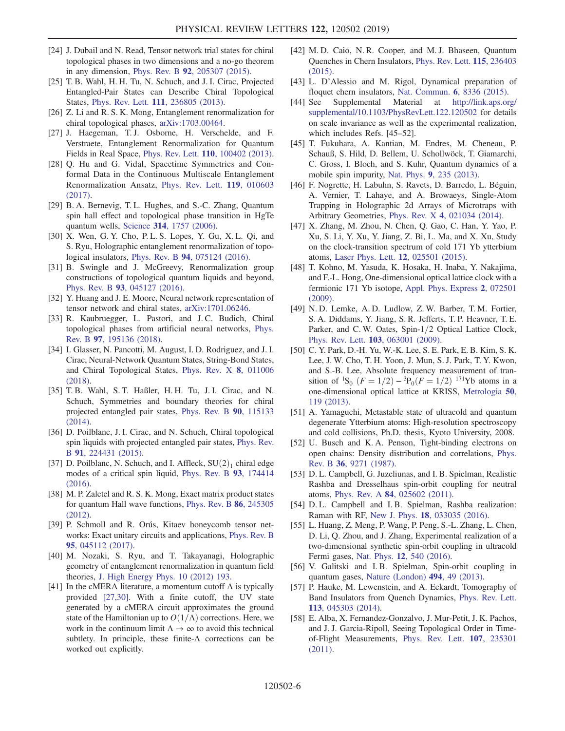- [24] J. Dubail and N. Read, Tensor network trial states for chiral topological phases in two dimensions and a no-go theorem in any dimension, Phys. Rev. B 92[, 205307 \(2015\).](https://doi.org/10.1103/PhysRevB.92.205307)
- <span id="page-5-6"></span>[25] T. B. Wahl, H. H. Tu, N. Schuch, and J. I. Cirac, Projected Entangled-Pair States can Describe Chiral Topological States, Phys. Rev. Lett. 111[, 236805 \(2013\).](https://doi.org/10.1103/PhysRevLett.111.236805)
- [26] Z. Li and R. S. K. Mong, Entanglement renormalization for chiral topological phases, [arXiv:1703.00464.](http://arXiv.org/abs/1703.00464)
- <span id="page-5-0"></span>[27] J. Haegeman, T. J. Osborne, H. Verschelde, and F. Verstraete, Entanglement Renormalization for Quantum Fields in Real Space, Phys. Rev. Lett. 110[, 100402 \(2013\).](https://doi.org/10.1103/PhysRevLett.110.100402)
- <span id="page-5-1"></span>[28] Q. Hu and G. Vidal, Spacetime Symmetries and Conformal Data in the Continuous Multiscale Entanglement Renormalization Ansatz, [Phys. Rev. Lett.](https://doi.org/10.1103/PhysRevLett.119.010603) 119, 010603 [\(2017\).](https://doi.org/10.1103/PhysRevLett.119.010603)
- <span id="page-5-2"></span>[29] B. A. Bernevig, T. L. Hughes, and S.-C. Zhang, Quantum spin hall effect and topological phase transition in HgTe quantum wells, Science 314[, 1757 \(2006\).](https://doi.org/10.1126/science.1133734)
- <span id="page-5-3"></span>[30] X. Wen, G. Y. Cho, P. L. S. Lopes, Y. Gu, X. L. Oi, and S. Ryu, Holographic entanglement renormalization of topological insulators, Phys. Rev. B 94[, 075124 \(2016\)](https://doi.org/10.1103/PhysRevB.94.075124).
- <span id="page-5-4"></span>[31] B. Swingle and J. McGreevy, Renormalization group constructions of topological quantum liquids and beyond, Phys. Rev. B 93[, 045127 \(2016\).](https://doi.org/10.1103/PhysRevB.93.045127)
- <span id="page-5-5"></span>[32] Y. Huang and J. E. Moore, Neural network representation of tensor network and chiral states, [arXiv:1701.06246](http://arXiv.org/abs/1701.06246).
- [33] R. Kaubruegger, L. Pastori, and J.C. Budich, Chiral topological phases from artificial neural networks, [Phys.](https://doi.org/10.1103/PhysRevB.97.195136) Rev. B 97[, 195136 \(2018\).](https://doi.org/10.1103/PhysRevB.97.195136)
- [34] I. Glasser, N. Pancotti, M. August, I. D. Rodriguez, and J. I. Cirac, Neural-Network Quantum States, String-Bond States, and Chiral Topological States, [Phys. Rev. X](https://doi.org/10.1103/PhysRevX.8.011006) 8, 011006 [\(2018\).](https://doi.org/10.1103/PhysRevX.8.011006)
- [35] T. B. Wahl, S. T. Haßler, H. H. Tu, J. I. Cirac, and N. Schuch, Symmetries and boundary theories for chiral projected entangled pair states, [Phys. Rev. B](https://doi.org/10.1103/PhysRevB.90.115133) 90, 115133 [\(2014\).](https://doi.org/10.1103/PhysRevB.90.115133)
- [36] D. Poilblanc, J. I. Cirac, and N. Schuch, Chiral topological spin liquids with projected entangled pair states, [Phys. Rev.](https://doi.org/10.1103/PhysRevB.91.224431) <sup>B</sup> 91[, 224431 \(2015\).](https://doi.org/10.1103/PhysRevB.91.224431)
- [37] D. Poilblanc, N. Schuch, and I. Affleck,  $SU(2)_1$  chiral edge modes of a critical spin liquid, [Phys. Rev. B](https://doi.org/10.1103/PhysRevB.93.174414) 93, 174414 [\(2016\).](https://doi.org/10.1103/PhysRevB.93.174414)
- <span id="page-5-7"></span>[38] M. P. Zaletel and R. S. K. Mong, Exact matrix product states for quantum Hall wave functions, [Phys. Rev. B](https://doi.org/10.1103/PhysRevB.86.245305) 86, 245305 [\(2012\).](https://doi.org/10.1103/PhysRevB.86.245305)
- <span id="page-5-8"></span>[39] P. Schmoll and R. Orús, Kitaev honeycomb tensor networks: Exact unitary circuits and applications, [Phys. Rev. B](https://doi.org/10.1103/PhysRevB.95.045112) 95[, 045112 \(2017\).](https://doi.org/10.1103/PhysRevB.95.045112)
- [40] M. Nozaki, S. Ryu, and T. Takayanagi, Holographic geometry of entanglement renormalization in quantum field theories, [J. High Energy Phys. 10 \(2012\) 193.](https://doi.org/10.1007/JHEP10(2012)193)
- <span id="page-5-9"></span>[41] In the cMERA literature, a momentum cutoff  $\Lambda$  is typically provided [\[27,30\]](#page-5-0). With a finite cutoff, the UV state generated by a cMERA circuit approximates the ground state of the Hamiltonian up to  $O(1/\Lambda)$  corrections. Here, we work in the continuum limit  $\Lambda \to \infty$  to avoid this technical subtlety. In principle, these finite-Λ corrections can be worked out explicitly.
- <span id="page-5-13"></span>[42] M. D. Caio, N. R. Cooper, and M. J. Bhaseen, Quantum Quenches in Chern Insulators, [Phys. Rev. Lett.](https://doi.org/10.1103/PhysRevLett.115.236403) 115, 236403 [\(2015\).](https://doi.org/10.1103/PhysRevLett.115.236403)
- [43] L. D'Alessio and M. Rigol, Dynamical preparation of floquet chern insulators, [Nat. Commun.](https://doi.org/10.1038/ncomms9336) 6, 8336 (2015).<br>[44] See Supplemental Material at http://link.aps.or
- <span id="page-5-10"></span>Material at [http://link.aps.org/](http://link.aps.org/supplemental/10.1103/PhysRevLett.122.120502) [supplemental/10.1103/PhysRevLett.122.120502](http://link.aps.org/supplemental/10.1103/PhysRevLett.122.120502) for details on scale invariance as well as the experimental realization, which includes Refs. [45–52].
- [45] T. Fukuhara, A. Kantian, M. Endres, M. Cheneau, P. Schauß, S. Hild, D. Bellem, U. Schollwöck, T. Giamarchi, C. Gross, I. Bloch, and S. Kuhr, Quantum dynamics of a mobile spin impurity, Nat. Phys. 9[, 235 \(2013\)](https://doi.org/10.1038/nphys2561).
- [46] F. Nogrette, H. Labuhn, S. Ravets, D. Barredo, L. Béguin, A. Vernier, T. Lahaye, and A. Browaeys, Single-Atom Trapping in Holographic 2d Arrays of Microtraps with Arbitrary Geometries, Phys. Rev. X 4[, 021034 \(2014\).](https://doi.org/10.1103/PhysRevX.4.021034)
- [47] X. Zhang, M. Zhou, N. Chen, Q. Gao, C. Han, Y. Yao, P. Xu, S. Li, Y. Xu, Y. Jiang, Z. Bi, L. Ma, and X. Xu, Study on the clock-transition spectrum of cold 171 Yb ytterbium atoms, [Laser Phys. Lett.](https://doi.org/10.1088/1612-2011/12/2/025501) 12, 025501 (2015).
- [48] T. Kohno, M. Yasuda, K. Hosaka, H. Inaba, Y. Nakajima, and F.-L. Hong, One-dimensional optical lattice clock with a fermionic 171 Yb isotope, [Appl. Phys. Express](https://doi.org/10.1143/APEX.2.072501) 2, 072501 [\(2009\).](https://doi.org/10.1143/APEX.2.072501)
- [49] N. D. Lemke, A. D. Ludlow, Z. W. Barber, T. M. Fortier, S. A. Diddams, Y. Jiang, S. R. Jefferts, T. P. Heavner, T. E. Parker, and C. W. Oates, Spin-1/2 Optical Lattice Clock, Phys. Rev. Lett. 103[, 063001 \(2009\).](https://doi.org/10.1103/PhysRevLett.103.063001)
- [50] C. Y. Park, D.-H. Yu, W.-K. Lee, S. E. Park, E. B. Kim, S. K. Lee, J. W. Cho, T. H. Yoon, J. Mun, S. J. Park, T. Y. Kwon, and S.-B. Lee, Absolute frequency measurement of transition of  ${}^{1}S_{0}$   $(F = 1/2) – {}^{3}P_{0}(F = 1/2)$   ${}^{171}Yb$  atoms in a<br>one-dimensional optical lattice at KRISS Metrologia 50 one-dimensional optical lattice at KRISS, [Metrologia](https://doi.org/10.1088/0026-1394/50/2/119) 50, [119 \(2013\)](https://doi.org/10.1088/0026-1394/50/2/119).
- [51] A. Yamaguchi, Metastable state of ultracold and quantum degenerate Ytterbium atoms: High-resolution spectroscopy and cold collisions, Ph.D. thesis, Kyoto University, 2008.
- [52] U. Busch and K. A. Penson, Tight-binding electrons on open chains: Density distribution and correlations, [Phys.](https://doi.org/10.1103/PhysRevB.36.9271) Rev. B 36[, 9271 \(1987\)](https://doi.org/10.1103/PhysRevB.36.9271).
- <span id="page-5-11"></span>[53] D. L. Campbell, G. Juzeliunas, and I. B. Spielman, Realistic Rashba and Dresselhaus spin-orbit coupling for neutral atoms, Phys. Rev. A 84[, 025602 \(2011\).](https://doi.org/10.1103/PhysRevA.84.025602)
- [54] D. L. Campbell and I. B. Spielman, Rashba realization: Raman with RF, New J. Phys. 18[, 033035 \(2016\)](https://doi.org/10.1088/1367-2630/18/3/033035).
- [55] L. Huang, Z. Meng, P. Wang, P. Peng, S.-L. Zhang, L. Chen, D. Li, Q. Zhou, and J. Zhang, Experimental realization of a two-dimensional synthetic spin-orbit coupling in ultracold Fermi gases, Nat. Phys. 12[, 540 \(2016\).](https://doi.org/10.1038/nphys3672)
- <span id="page-5-12"></span>[56] V. Galitski and I.B. Spielman, Spin-orbit coupling in quantum gases, [Nature \(London\)](https://doi.org/10.1038/nature11841) 494, 49 (2013).
- [57] P. Hauke, M. Lewenstein, and A. Eckardt, Tomography of Band Insulators from Quench Dynamics, [Phys. Rev. Lett.](https://doi.org/10.1103/PhysRevLett.113.045303) 113[, 045303 \(2014\).](https://doi.org/10.1103/PhysRevLett.113.045303)
- [58] E. Alba, X. Fernandez-Gonzalvo, J. Mur-Petit, J. K. Pachos, and J. J. Garcia-Ripoll, Seeing Topological Order in Timeof-Flight Measurements, [Phys. Rev. Lett.](https://doi.org/10.1103/PhysRevLett.107.235301) 107, 235301 [\(2011\).](https://doi.org/10.1103/PhysRevLett.107.235301)